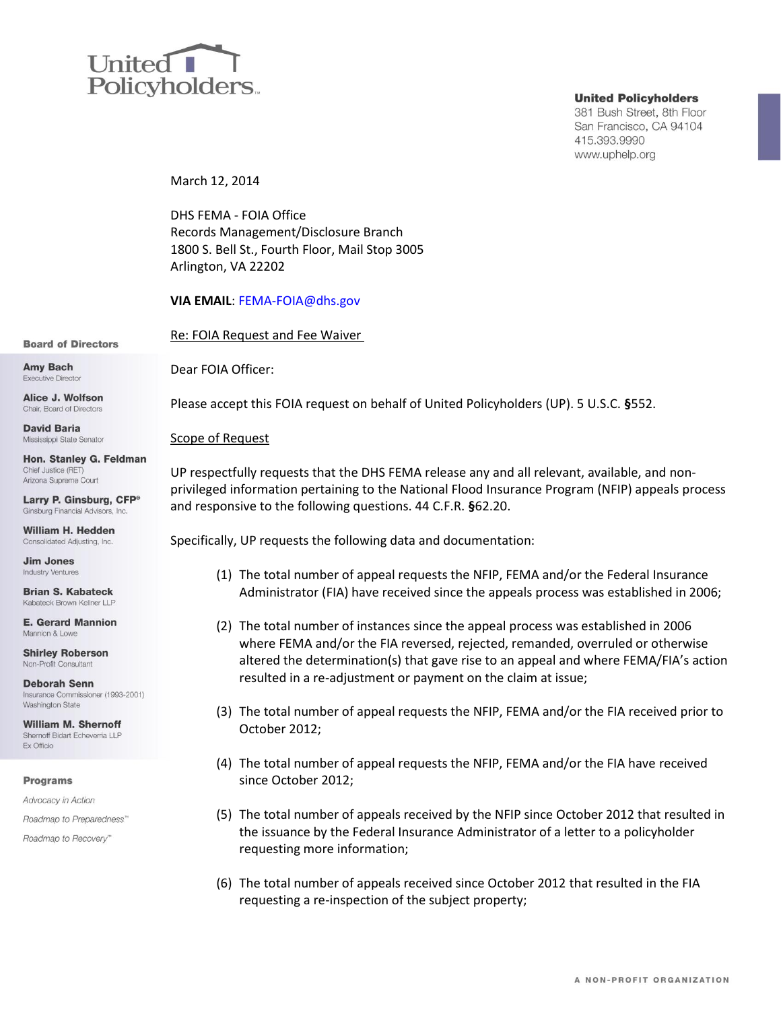# United **I** Policyholders.

### **United Policyholders**

381 Bush Street, 8th Floor San Francisco, CA 94104 415.393.9990 www.uphelp.org

March 12, 2014

DHS FEMA - FOIA Office Records Management/Disclosure Branch 1800 S. Bell St., Fourth Floor, Mail Stop 3005 Arlington, VA 22202

**VIA EMAIL**: [FEMA-FOIA@dhs.gov](mailto:FEMA-FOIA@dhs.gov)

Re: FOIA Request and Fee Waiver

**Board of Directors** 

**Amy Bach Executive Director** 

Alice J. Wolfson Chair. Board of Directors

**David Baria** Mississippi State Senator

Hon. Stanley G. Feldman Chief Justice (RET) Arizona Supreme Court

Larry P. Ginsburg, CFP<sup>®</sup> Ginsburg Financial Advisors, Inc.

William H. Hedden Consolidated Adjusting, Inc.

**Jim Jones Industry Ventures** 

**Brian S. Kabateck** Kabateck Brown Kellner LLP

**E. Gerard Mannion** Mannion & Low

**Shirley Roberson** Non-Profit Consultant

**Deborah Senn** Insurance Commissioner (1993-2001) **Washington State** 

**William M. Shernoff** Shernoff Bidart Echeverria LLP Ex Officio

### **Programs**

Advocacy in Action

Roadmap to Preparedness"

Roadmap to Recovery"

Dear FOIA Officer:

Please accept this FOIA request on behalf of United Policyholders (UP). 5 U.S.C. **§**552.

## Scope of Request

UP respectfully requests that the DHS FEMA release any and all relevant, available, and nonprivileged information pertaining to the National Flood Insurance Program (NFIP) appeals process and responsive to the following questions. 44 C.F.R. **§**62.20.

Specifically, UP requests the following data and documentation:

- (1) The total number of appeal requests the NFIP, FEMA and/or the Federal Insurance Administrator (FIA) have received since the appeals process was established in 2006;
- (2) The total number of instances since the appeal process was established in 2006 where FEMA and/or the FIA reversed, rejected, remanded, overruled or otherwise altered the determination(s) that gave rise to an appeal and where FEMA/FIA's action resulted in a re-adjustment or payment on the claim at issue;
- (3) The total number of appeal requests the NFIP, FEMA and/or the FIA received prior to October 2012;
- (4) The total number of appeal requests the NFIP, FEMA and/or the FIA have received since October 2012;
- (5) The total number of appeals received by the NFIP since October 2012 that resulted in the issuance by the Federal Insurance Administrator of a letter to a policyholder requesting more information;
- (6) The total number of appeals received since October 2012 that resulted in the FIA requesting a re-inspection of the subject property;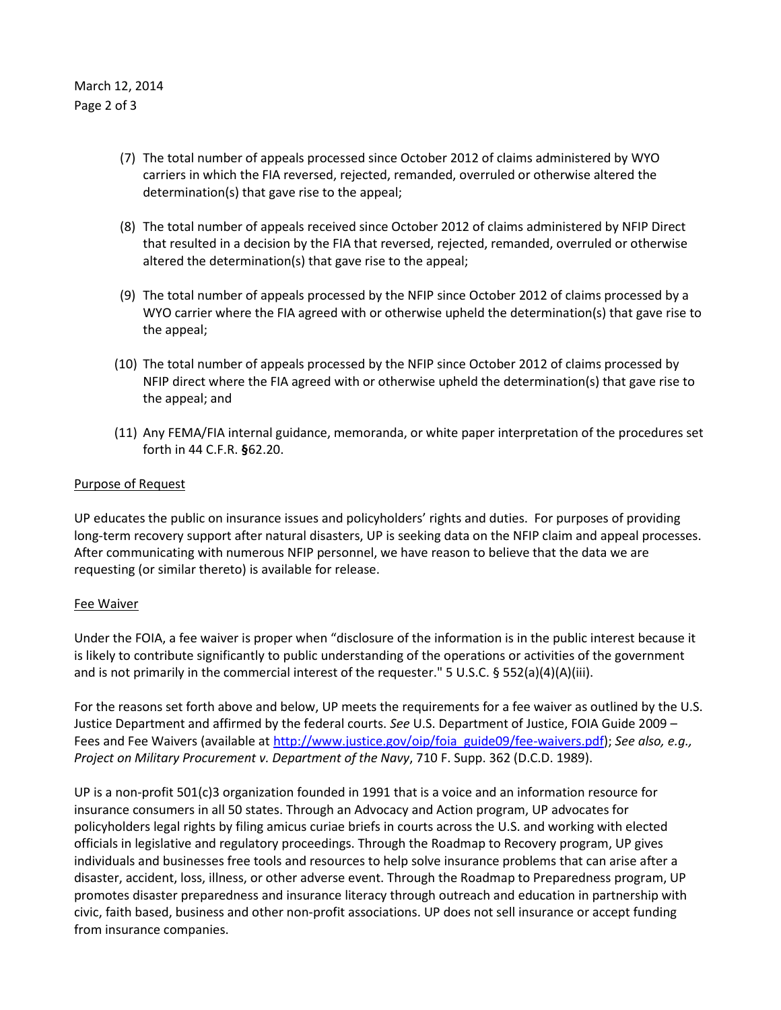- (7) The total number of appeals processed since October 2012 of claims administered by WYO carriers in which the FIA reversed, rejected, remanded, overruled or otherwise altered the determination(s) that gave rise to the appeal;
- (8) The total number of appeals received since October 2012 of claims administered by NFIP Direct that resulted in a decision by the FIA that reversed, rejected, remanded, overruled or otherwise altered the determination(s) that gave rise to the appeal;
- (9) The total number of appeals processed by the NFIP since October 2012 of claims processed by a WYO carrier where the FIA agreed with or otherwise upheld the determination(s) that gave rise to the appeal;
- (10) The total number of appeals processed by the NFIP since October 2012 of claims processed by NFIP direct where the FIA agreed with or otherwise upheld the determination(s) that gave rise to the appeal; and
- (11) Any FEMA/FIA internal guidance, memoranda, or white paper interpretation of the procedures set forth in 44 C.F.R. **§**62.20.

# Purpose of Request

UP educates the public on insurance issues and policyholders' rights and duties. For purposes of providing long-term recovery support after natural disasters, UP is seeking data on the NFIP claim and appeal processes. After communicating with numerous NFIP personnel, we have reason to believe that the data we are requesting (or similar thereto) is available for release.

# Fee Waiver

Under the FOIA, a fee waiver is proper when "disclosure of the information is in the public interest because it is likely to contribute significantly to public understanding of the operations or activities of the government and is not primarily in the commercial interest of the requester." 5 U.S.C. § 552(a)(4)(A)(iii).

For the reasons set forth above and below, UP meets the requirements for a fee waiver as outlined by the U.S. Justice Department and affirmed by the federal courts. *See* U.S. Department of Justice, FOIA Guide 2009 – Fees and Fee Waivers (available at [http://www.justice.gov/oip/foia\\_guide09/fee-waivers.pdf\)](http://www.justice.gov/oip/foia_guide09/fee-waivers.pdf); *See also, e.g., Project on Military Procurement v. Department of the Navy*, 710 F. Supp. 362 (D.C.D. 1989).

UP is a non-profit 501(c)3 organization founded in 1991 that is a voice and an information resource for insurance consumers in all 50 states. Through an Advocacy and Action program, UP advocates for policyholders legal rights by filing amicus curiae briefs in courts across the U.S. and working with elected officials in legislative and regulatory proceedings. Through the Roadmap to Recovery program, UP gives individuals and businesses free tools and resources to help solve insurance problems that can arise after a disaster, accident, loss, illness, or other adverse event. Through the Roadmap to Preparedness program, UP promotes disaster preparedness and insurance literacy through outreach and education in partnership with civic, faith based, business and other non-profit associations. UP does not sell insurance or accept funding from insurance companies.